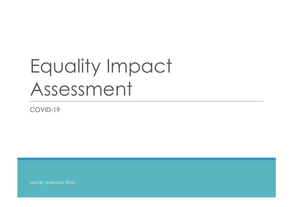## Equality Impact Assessment

COVID-19

MALTBY LEARNING TRUST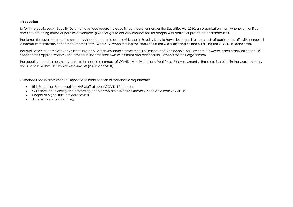## **Introduction**

To fulfil the public body 'Equality Duty' to have 'due regard' to equality considerations under the Equalities Act 2010, an organisation must, whenever significant decisions are being made or policies developed, give thought to equality implications for people with particular protected characteristics.

The template equality impact assessments should be completed to evidence its Equality Duty to have due regard to the needs of pupils and staff, with increased vulnerability to infection or poorer outcomes from COVID-19, when making the decision for the wider opening of schools during the COVID-19 pandemic.

The pupil and staff templates have been pre-populated with sample assessments of Impact and Reasonable Adjustments. However, each organisation should consider their appropriateness and amend in line with their own assessment and planned adjustments for their organisation.

The equality impact assessments make reference to a number of COVID-19 Individual and Workforce Risk Assessments. These are included in the supplementary document Template Health Risk Assessments (Pupils and Staff).

Guidance used in assessment of Impact and identification of reasonable adjustments:

- Risk Reduction Framework for NHS Staff at risk of COVID-19 infection
- Guidance on shielding and protecting people who are clinically extremely vulnerable from COVID-19
- People at higher risk from coronavirus
- Advice on social distancing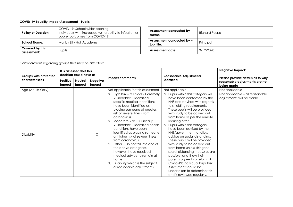## **COVID-19 Equality Impact Assessment - Pupils**

| <b>Policy or Decision:</b>     | COVID-19: School wider opening<br>Individuals with increased vulnerability to infection or<br>poorer outcomes from COVID-191 | Assessment conducted by -<br>name:      | Richard P |
|--------------------------------|------------------------------------------------------------------------------------------------------------------------------|-----------------------------------------|-----------|
| <b>School Name:</b>            | Maltby Lilly Hall Academy                                                                                                    | Assessment conducted by -<br>iob title: | Principal |
| Covered by this<br>assessment: | Pupils                                                                                                                       | <b>Assessment date:</b>                 | 3/12/2020 |

| Assessment conducted by -<br>name:      | Richard Pease |
|-----------------------------------------|---------------|
| Assessment conducted by -<br>job title: | Principal     |
| <b>Assessment date:</b>                 | 3/12/2020     |

Considerations regarding groups that may be affected:

| Groups with protected<br>characteristics | It is assessed that this<br>decision could have a: |                          |                           |                                                                                                                                                                                                                                                                                                                                                                                                                                                                                                                                                                                                               | <b>Reasonable Adjustments</b>                                                                                                                                                                                                                                                                                                                                                                                                                                                                                                                                                                                                                                                                      | <b>Negative Impact:</b>                                                          |
|------------------------------------------|----------------------------------------------------|--------------------------|---------------------------|---------------------------------------------------------------------------------------------------------------------------------------------------------------------------------------------------------------------------------------------------------------------------------------------------------------------------------------------------------------------------------------------------------------------------------------------------------------------------------------------------------------------------------------------------------------------------------------------------------------|----------------------------------------------------------------------------------------------------------------------------------------------------------------------------------------------------------------------------------------------------------------------------------------------------------------------------------------------------------------------------------------------------------------------------------------------------------------------------------------------------------------------------------------------------------------------------------------------------------------------------------------------------------------------------------------------------|----------------------------------------------------------------------------------|
|                                          | Positive<br>Impact                                 | <b>Neutral</b><br>Impact | <b>Negative</b><br>Impact | Impact comments:                                                                                                                                                                                                                                                                                                                                                                                                                                                                                                                                                                                              | identified:                                                                                                                                                                                                                                                                                                                                                                                                                                                                                                                                                                                                                                                                                        | Please provide details as to why<br>reasonable adjustments are not<br>being made |
| Age (Adults Only)                        |                                                    |                          |                           | Not applicable for this assessment                                                                                                                                                                                                                                                                                                                                                                                                                                                                                                                                                                            | Not applicable                                                                                                                                                                                                                                                                                                                                                                                                                                                                                                                                                                                                                                                                                     | Not applicable                                                                   |
| <b>Disability</b>                        |                                                    |                          | Χ                         | a. High Risk - 'Clinically Extremely<br>Vulnerable' - Identified<br>specific medical conditions<br>have been identified as<br>placing someone at greatest<br>risk of severe illness from<br>coronavirus.<br>Moderate Risk - 'Clinically<br>b.<br>Vulnerable' – Identified health<br>conditions have been<br>identified as placing someone<br>at higher risk of severe illness<br>from coronavirus.<br>Other – Do not fall into one of<br>C.<br>the above categories,<br>however, have received<br>medical advice to remain at<br>home.<br>Disability which is the subject<br>d.<br>of reasonable adjustments. | a. Pupils within this category will<br>have been contacted by the<br>NHS and advised with regards<br>to shielding requirements.<br>These pupils will be provided<br>with study to be carried out<br>from home as per the remote<br>learning offer.<br>b. Pupils within this category<br>have been advised by the<br>NHS/government to follow<br>advice on social distancing.<br>These pupils will be provided<br>with study to be carried out<br>from home unless stringent<br>social distancing measures are<br>possible, and they/their<br>parents agree to a return. A<br>Covid-19: Individual Pupil Risk<br>Assessment should be<br>undertaken to determine this<br>and is reviewed regularly. | Not applicable - all reasonable<br>adjustments will be made.                     |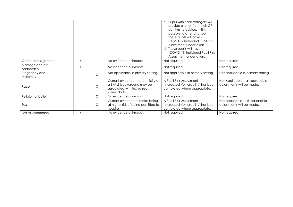|                                   |   |   |                                                                                                               | c. Pupils within this category will<br>provide a letter from their GP<br>confirming advice. If it is<br>possible to attend school,<br>these pupils will have a<br>COVID-19 Individual Pupil Risk<br>Assessment undertaken.<br>d. These pupils will have a<br>'COVID-19: Individual Pupil Risk<br>Assessment undertaken. |                                                              |
|-----------------------------------|---|---|---------------------------------------------------------------------------------------------------------------|-------------------------------------------------------------------------------------------------------------------------------------------------------------------------------------------------------------------------------------------------------------------------------------------------------------------------|--------------------------------------------------------------|
| Gender reassignment               | Χ |   | No evidence of impact.                                                                                        | Not required.                                                                                                                                                                                                                                                                                                           | Not required.                                                |
| Marriage and civil<br>partnership | X |   | No evidence of impact.                                                                                        | Not required.                                                                                                                                                                                                                                                                                                           | Not required.                                                |
| Pregnancy and<br>maternity        |   | X | Not applicable in primary setting.                                                                            | Not applicable in primary setting.                                                                                                                                                                                                                                                                                      | Not applicable in primary setting.                           |
| Race                              |   | X | Current evidence that ethnicity of<br>a BAME background may be<br>associated with increased<br>vulnerability. | A Pupil Risk Assessment -<br>'Increased Vulnerability' has been<br>completed where appropriate.                                                                                                                                                                                                                         | Not Applicable - all reasonable<br>adjustments will be made. |
| Religion or belief                |   | X | No evidence of impact.                                                                                        | Not required.                                                                                                                                                                                                                                                                                                           | Not required.                                                |
| Sex                               |   | X | Current evidence of males being<br>at higher risk of being admitted to<br>hospital.                           | A Pupil Risk Assessment -<br>'Increased Vulnerability' has been<br>completed where appropriate.                                                                                                                                                                                                                         | Not applicable - all reasonable<br>adjustments will be made. |
| Sexual orientation                | X |   | No evidence of impact.                                                                                        | Not required.                                                                                                                                                                                                                                                                                                           | Not required.                                                |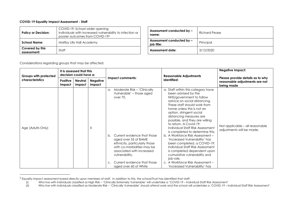## **COVID-19 Equality Impact Assessment - Staff**

| <b>Policy or Decision:</b>     | COVID-19: School wider opening<br>Individuals with increased vulnerability to infection or<br>poorer outcomes from COVID-192 | Assessment conducted by -<br>name:      | Richard P |
|--------------------------------|------------------------------------------------------------------------------------------------------------------------------|-----------------------------------------|-----------|
| <b>School Name:</b>            | Maltby Lilly Hall Academy                                                                                                    | Assessment conducted by -<br>iob title: | Principal |
| Covered by this<br>assessment: | Staff                                                                                                                        | <b>Assessment date:</b>                 | 3/12/2020 |

| Assessment conducted by -<br>name:      | Richard Pease |
|-----------------------------------------|---------------|
| Assessment conducted by -<br>job title: | Principal     |
| <b>Assessment date:</b>                 | 3/12/2020     |

Considerations regarding groups that may be affected:

| Groups with protected<br><b>characteristics</b> |                    | It is assessed that this<br>decision could have a: |                           | Impact comments:                                                                                                                                                                                                                                                                                                              | <b>Reasonable Adjustments</b><br>identified:                                                                                                                                                                                                                                                                                                                                                                                                                                                                                                                                                                                                                           | <b>Negative Impact:</b>                                                          |
|-------------------------------------------------|--------------------|----------------------------------------------------|---------------------------|-------------------------------------------------------------------------------------------------------------------------------------------------------------------------------------------------------------------------------------------------------------------------------------------------------------------------------|------------------------------------------------------------------------------------------------------------------------------------------------------------------------------------------------------------------------------------------------------------------------------------------------------------------------------------------------------------------------------------------------------------------------------------------------------------------------------------------------------------------------------------------------------------------------------------------------------------------------------------------------------------------------|----------------------------------------------------------------------------------|
|                                                 | Positive<br>Impact | Neutral<br>Impact                                  | <b>Negative</b><br>Impact |                                                                                                                                                                                                                                                                                                                               |                                                                                                                                                                                                                                                                                                                                                                                                                                                                                                                                                                                                                                                                        | Please provide details as to why<br>reasonable adjustments are not<br>being made |
| Age (Adults Only)                               |                    |                                                    | X                         | Moderate Risk - 'Clinically<br>a.<br>Vulnerable' - those aged<br>over 70.<br>Current evidence that those<br>b.<br>aged over 55 of BAME<br>ethnicity, particularly those<br>with co-morbidities may be<br>associated with increased<br>vulnerability.<br>Current evidence that those<br>$\mathsf{C}.$<br>aged over 60 of White | a. Staff within this category have<br>been advised by the<br>NHS/government to follow<br>advice on social distancing.<br>These staff should work from<br>home unless this is not an<br>option, stringent social<br>distancing measures are<br>possible, and they are willing<br>to return. A Covid-19:<br>Individual Staff Risk Assessment<br>is completed to determine this.<br>b. A Workforce Risk Assessment -<br>'Increased Vulnerability' has<br>been completed, a COVID-19:<br>Individual Staff Risk Assessment<br>is completed dependent upon<br>cumulative vulnerability and<br>job role.<br>c. A Workforce Risk Assessment –<br>'Increased Vulnerability' has | Not applicable - all reasonable<br>adjustments will be made.                     |

 $^2$  Equality impact assessment based directly upon members of staff. In addition to this, the school/Trust has identified that staff:

<sup>(</sup>i) Who live with individuals classified as High Risk – 'Clinically Extremely Vulnerable' will undertake a 'COVID-19 – Individual Staff Risk Assessment'

<sup>(</sup>ii) Who live with individuals classified as Moderate Risk – 'Clinically Vulnerable' should attend work and the school will undertake a 'COVID-19 – Individual Staff Risk Assessment'.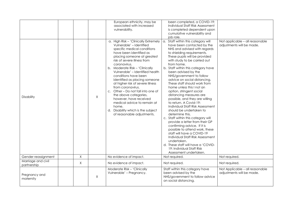|                                   |             |        | European ethnicity, may be<br>associated with increased<br>vulnerability.                                                                                                                                                                                                                                                                                                                                                                                                                                                                                                                                 | been completed, a COVID-19:<br>Individual Staff Risk Assessment<br>is completed dependent upon<br>cumulative vulnerability and<br>job role.                                                                                                                                                                                                                                                                                                                                                                                                                                                                                                                                                                                                                                                                                                                                                                                     |                                                              |
|-----------------------------------|-------------|--------|-----------------------------------------------------------------------------------------------------------------------------------------------------------------------------------------------------------------------------------------------------------------------------------------------------------------------------------------------------------------------------------------------------------------------------------------------------------------------------------------------------------------------------------------------------------------------------------------------------------|---------------------------------------------------------------------------------------------------------------------------------------------------------------------------------------------------------------------------------------------------------------------------------------------------------------------------------------------------------------------------------------------------------------------------------------------------------------------------------------------------------------------------------------------------------------------------------------------------------------------------------------------------------------------------------------------------------------------------------------------------------------------------------------------------------------------------------------------------------------------------------------------------------------------------------|--------------------------------------------------------------|
| Disability                        |             | X      | a. High Risk - 'Clinically Extremely  <br>Vulnerable' - Identified<br>specific medical conditions<br>have been identified as<br>placing someone at greatest<br>risk of severe illness from<br>coronavirus.<br>b. Moderate Risk - 'Clinically<br>Vulnerable' - Identified health<br>conditions have been<br>identified as placing someone<br>at higher risk of severe illness<br>from coronavirus.<br>c. Other – Do not fall into one of<br>the above categories,<br>however, have received<br>medical advice to remain at<br>home.<br>Disability which is the subject<br>d.<br>of reasonable adjustments. | a. Staff within this category will<br>have been contacted by the<br>NHS and advised with regards<br>to shielding requirements.<br>These pupils will be provided<br>with study to be carried out<br>from home.<br>b. Staff within this category have<br>been advised by the<br>NHS/government to follow<br>advice on social distancing.<br>These staff should work from<br>home unless this I not an<br>option, stringent social<br>distancing measures are<br>possible, and they are willing<br>to return. A Covid-19:<br>Individual Staff Risk Assessment<br>should be undertaken to<br>determine this.<br>c. Staff within this category will<br>provide a letter from their GP<br>confirming advice. If it is<br>possible to attend work, these<br>staff will have a COVID-19<br>Individual Staff Risk Assessment<br>undertaken.<br>d. These staff will have a 'COVID-<br>19: Individual Staff Risk<br>Assessment undertaken. | Not applicable - all reasonable<br>adjustments will be made. |
| Gender reassignment               | X           |        | No evidence of impact.                                                                                                                                                                                                                                                                                                                                                                                                                                                                                                                                                                                    | Not required.                                                                                                                                                                                                                                                                                                                                                                                                                                                                                                                                                                                                                                                                                                                                                                                                                                                                                                                   | Not required.                                                |
| Marriage and civil<br>partnership | $\mathsf X$ |        | No evidence of impact.                                                                                                                                                                                                                                                                                                                                                                                                                                                                                                                                                                                    | Not required.                                                                                                                                                                                                                                                                                                                                                                                                                                                                                                                                                                                                                                                                                                                                                                                                                                                                                                                   | Not required.                                                |
| Pregnancy and<br>maternity        |             | $\chi$ | Moderate Risk - 'Clinically<br>Vulnerable' - Pregnancy.                                                                                                                                                                                                                                                                                                                                                                                                                                                                                                                                                   | Staff within this category have<br>been advised by the<br>NHS/government to follow advice<br>on social distancing.                                                                                                                                                                                                                                                                                                                                                                                                                                                                                                                                                                                                                                                                                                                                                                                                              | Not Applicable - all reasonable<br>adjustments will be made. |